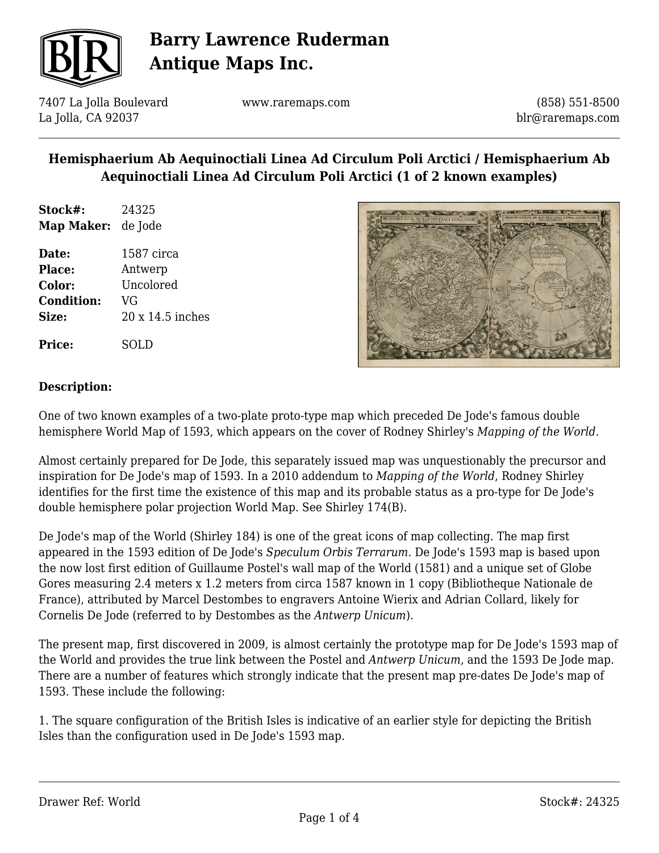

7407 La Jolla Boulevard La Jolla, CA 92037

www.raremaps.com

(858) 551-8500 blr@raremaps.com

## **Hemisphaerium Ab Aequinoctiali Linea Ad Circulum Poli Arctici / Hemisphaerium Ab Aequinoctiali Linea Ad Circulum Poli Arctici (1 of 2 known examples)**

**Stock#:** 24325 **Map Maker:** de Jode

**Date:** 1587 circa **Place:** Antwerp **Color:** Uncolored **Condition:** VG **Size:** 20 x 14.5 inches

### **Description:**

**Price:** SOLD

One of two known examples of a two-plate proto-type map which preceded De Jode's famous double hemisphere World Map of 1593, which appears on the cover of Rodney Shirley's *Mapping of the World.*

Almost certainly prepared for De Jode, this separately issued map was unquestionably the precursor and inspiration for De Jode's map of 1593. In a 2010 addendum to *Mapping of the World*, Rodney Shirley identifies for the first time the existence of this map and its probable status as a pro-type for De Jode's double hemisphere polar projection World Map. See Shirley 174(B).

De Jode's map of the World (Shirley 184) is one of the great icons of map collecting. The map first appeared in the 1593 edition of De Jode's *Speculum Orbis Terrarum*. De Jode's 1593 map is based upon the now lost first edition of Guillaume Postel's wall map of the World (1581) and a unique set of Globe Gores measuring 2.4 meters x 1.2 meters from circa 1587 known in 1 copy (Bibliotheque Nationale de France), attributed by Marcel Destombes to engravers Antoine Wierix and Adrian Collard, likely for Cornelis De Jode (referred to by Destombes as the *Antwerp Unicum*).

The present map, first discovered in 2009, is almost certainly the prototype map for De Jode's 1593 map of the World and provides the true link between the Postel and *Antwerp Unicum,* and the 1593 De Jode map. There are a number of features which strongly indicate that the present map pre-dates De Jode's map of 1593. These include the following:

1. The square configuration of the British Isles is indicative of an earlier style for depicting the British Isles than the configuration used in De Jode's 1593 map.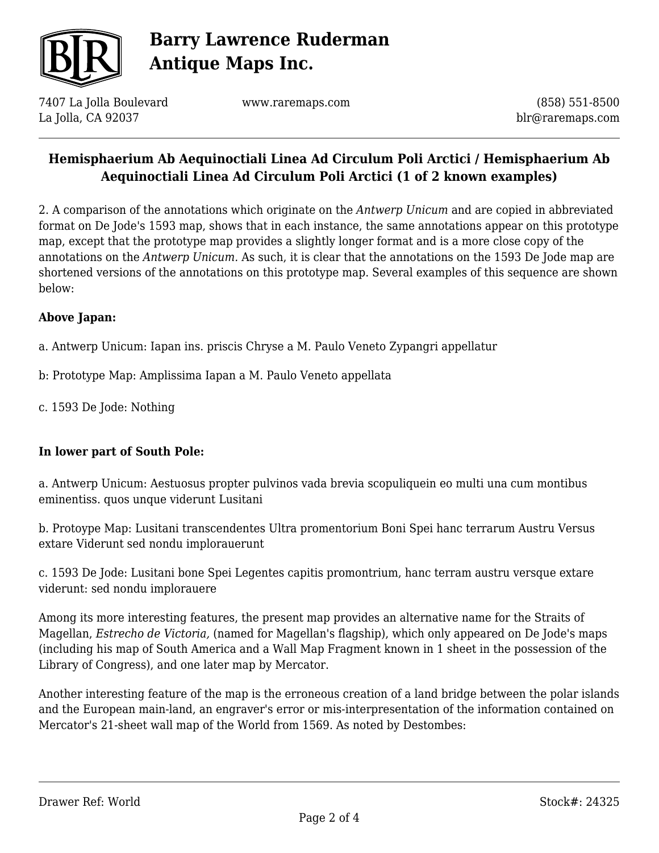

7407 La Jolla Boulevard La Jolla, CA 92037

www.raremaps.com

(858) 551-8500 blr@raremaps.com

### **Hemisphaerium Ab Aequinoctiali Linea Ad Circulum Poli Arctici / Hemisphaerium Ab Aequinoctiali Linea Ad Circulum Poli Arctici (1 of 2 known examples)**

2. A comparison of the annotations which originate on the *Antwerp Unicum* and are copied in abbreviated format on De Jode's 1593 map, shows that in each instance, the same annotations appear on this prototype map, except that the prototype map provides a slightly longer format and is a more close copy of the annotations on the *Antwerp Unicum.* As such, it is clear that the annotations on the 1593 De Jode map are shortened versions of the annotations on this prototype map. Several examples of this sequence are shown below:

### **Above Japan:**

a. Antwerp Unicum: Iapan ins. priscis Chryse a M. Paulo Veneto Zypangri appellatur

- b: Prototype Map: Amplissima Iapan a M. Paulo Veneto appellata
- c. 1593 De Jode: Nothing

#### **In lower part of South Pole:**

a. Antwerp Unicum: Aestuosus propter pulvinos vada brevia scopuliquein eo multi una cum montibus eminentiss. quos unque viderunt Lusitani

b. Protoype Map: Lusitani transcendentes Ultra promentorium Boni Spei hanc terrarum Austru Versus extare Viderunt sed nondu implorauerunt

c. 1593 De Jode: Lusitani bone Spei Legentes capitis promontrium, hanc terram austru versque extare viderunt: sed nondu implorauere

Among its more interesting features, the present map provides an alternative name for the Straits of Magellan, *Estrecho de Victoria,* (named for Magellan's flagship), which only appeared on De Jode's maps (including his map of South America and a Wall Map Fragment known in 1 sheet in the possession of the Library of Congress), and one later map by Mercator.

Another interesting feature of the map is the erroneous creation of a land bridge between the polar islands and the European main-land, an engraver's error or mis-interpresentation of the information contained on Mercator's 21-sheet wall map of the World from 1569. As noted by Destombes: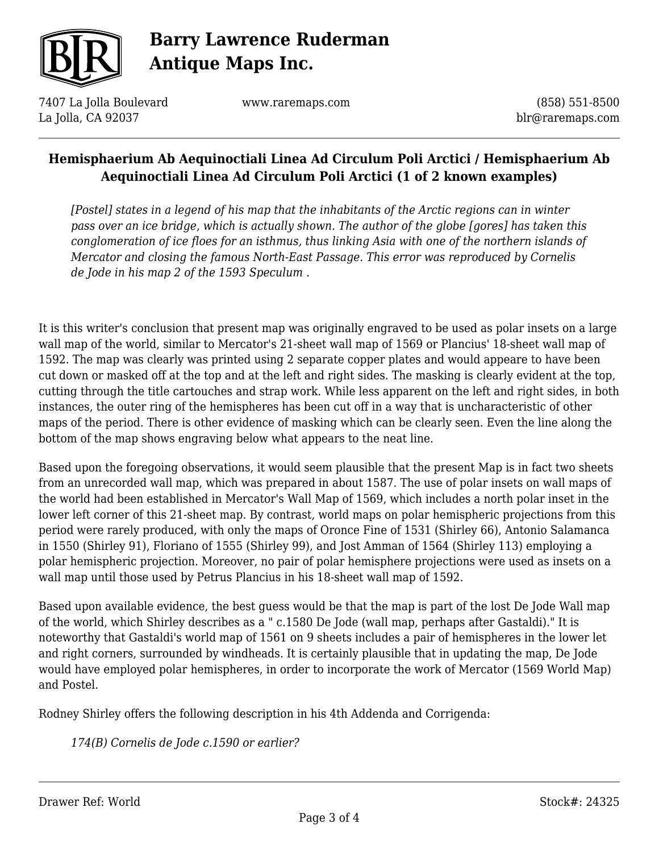

7407 La Jolla Boulevard La Jolla, CA 92037

www.raremaps.com

(858) 551-8500 blr@raremaps.com

## **Hemisphaerium Ab Aequinoctiali Linea Ad Circulum Poli Arctici / Hemisphaerium Ab Aequinoctiali Linea Ad Circulum Poli Arctici (1 of 2 known examples)**

*[Postel] states in a legend of his map that the inhabitants of the Arctic regions can in winter pass over an ice bridge, which is actually shown. The author of the globe [gores] has taken this conglomeration of ice floes for an isthmus, thus linking Asia with one of the northern islands of Mercator and closing the famous North-East Passage. This error was reproduced by Cornelis de Jode in his map 2 of the 1593 Speculum .*

It is this writer's conclusion that present map was originally engraved to be used as polar insets on a large wall map of the world, similar to Mercator's 21-sheet wall map of 1569 or Plancius' 18-sheet wall map of 1592. The map was clearly was printed using 2 separate copper plates and would appeare to have been cut down or masked off at the top and at the left and right sides. The masking is clearly evident at the top, cutting through the title cartouches and strap work. While less apparent on the left and right sides, in both instances, the outer ring of the hemispheres has been cut off in a way that is uncharacteristic of other maps of the period. There is other evidence of masking which can be clearly seen. Even the line along the bottom of the map shows engraving below what appears to the neat line.

Based upon the foregoing observations, it would seem plausible that the present Map is in fact two sheets from an unrecorded wall map, which was prepared in about 1587. The use of polar insets on wall maps of the world had been established in Mercator's Wall Map of 1569, which includes a north polar inset in the lower left corner of this 21-sheet map. By contrast, world maps on polar hemispheric projections from this period were rarely produced, with only the maps of Oronce Fine of 1531 (Shirley 66), Antonio Salamanca in 1550 (Shirley 91), Floriano of 1555 (Shirley 99), and Jost Amman of 1564 (Shirley 113) employing a polar hemispheric projection. Moreover, no pair of polar hemisphere projections were used as insets on a wall map until those used by Petrus Plancius in his 18-sheet wall map of 1592.

Based upon available evidence, the best guess would be that the map is part of the lost De Jode Wall map of the world, which Shirley describes as a " c.1580 De Jode (wall map, perhaps after Gastaldi)." It is noteworthy that Gastaldi's world map of 1561 on 9 sheets includes a pair of hemispheres in the lower let and right corners, surrounded by windheads. It is certainly plausible that in updating the map, De Jode would have employed polar hemispheres, in order to incorporate the work of Mercator (1569 World Map) and Postel.

Rodney Shirley offers the following description in his 4th Addenda and Corrigenda:

*174(B) Cornelis de Jode c.1590 or earlier?*